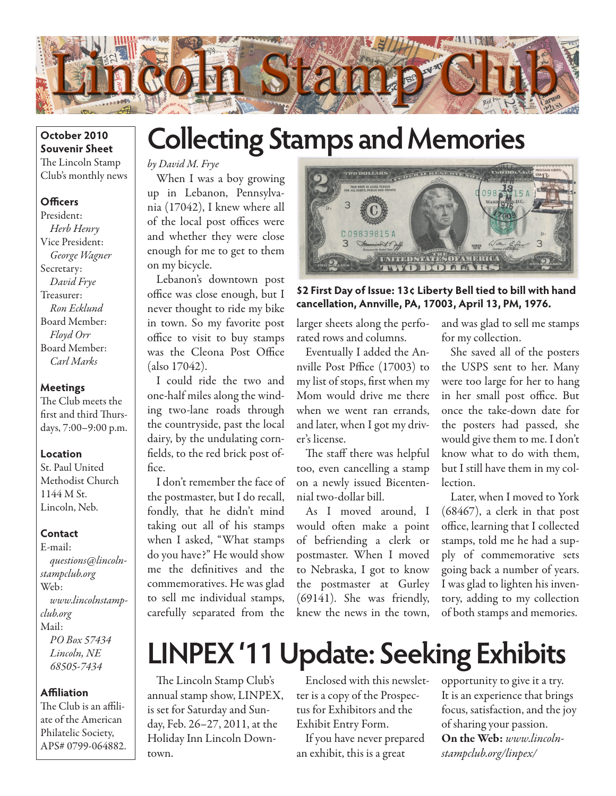

### **October 2010 Souvenir Sheet** The Lincoln Stamp Club's monthly news

### **Officers**

President: *Herb Henry* Vice President: *George Wagner* Secretary: *David Frye* Treasurer: *Ron Ecklund* Board Member: *Floyd Orr* Board Member: *Carl Marks*

### **Meetings**

The Club meets the first and third Thursdays, 7:00–9:00 p.m.

#### **Location**

St. Paul United Methodist Church 1144 M St. Lincoln, Neb.

#### **Contact**

E-mail: *questions@lincolnstampclub.org* Web: *www.lincolnstampclub.org* Mail: *PO Box 57434 Lincoln, NE 68505-7434*

### **Affiliation**

The Club is an affiliate of the American Philatelic Society, APS# 0799-064882.

## **Collecting Stamps and Memories**

*by David M. Frye*

When I was a boy growing up in Lebanon, Pennsylvania (17042), I knew where all of the local post offices were and whether they were close enough for me to get to them on my bicycle.

Lebanon's downtown post office was close enough, but I never thought to ride my bike in town. So my favorite post office to visit to buy stamps was the Cleona Post Office (also 17042).

I could ride the two and one-half miles along the winding two-lane roads through the countryside, past the local dairy, by the undulating cornfields, to the red brick post office.

I don't remember the face of the postmaster, but I do recall, fondly, that he didn't mind taking out all of his stamps when I asked, "What stamps do you have?" He would show me the definitives and the commemoratives. He was glad to sell me individual stamps, carefully separated from the



**\$2 First Day of Issue: 13¢ Liberty Bell tied to bill with hand cancellation, Annville, PA, 17003, April 13, PM, 1976.**

larger sheets along the perforated rows and columns.

Eventually I added the Annville Post Pffice (17003) to my list of stops, first when my Mom would drive me there when we went ran errands, and later, when I got my driver's license.

The staff there was helpful too, even cancelling a stamp on a newly issued Bicentennial two-dollar bill.

As I moved around, I would often make a point of befriending a clerk or postmaster. When I moved to Nebraska, I got to know the postmaster at Gurley (69141). She was friendly, knew the news in the town,

and was glad to sell me stamps for my collection.

She saved all of the posters the USPS sent to her. Many were too large for her to hang in her small post office. But once the take-down date for the posters had passed, she would give them to me. I don't know what to do with them, but I still have them in my collection.

Later, when I moved to York (68467), a clerk in that post office, learning that I collected stamps, told me he had a supply of commemorative sets going back a number of years. I was glad to lighten his inventory, adding to my collection of both stamps and memories.

# **LINPEX '11 Update: Seeking Exhibits**

The Lincoln Stamp Club's annual stamp show, LINPEX, is set for Saturday and Sunday, Feb. 26–27, 2011, at the Holiday Inn Lincoln Downtown.

Enclosed with this newsletter is a copy of the Prospectus for Exhibitors and the Exhibit Entry Form.

If you have never prepared an exhibit, this is a great

opportunity to give it a try. It is an experience that brings focus, satisfaction, and the joy of sharing your passion. On the Web: *www.lincolnstampclub.org/linpex/*